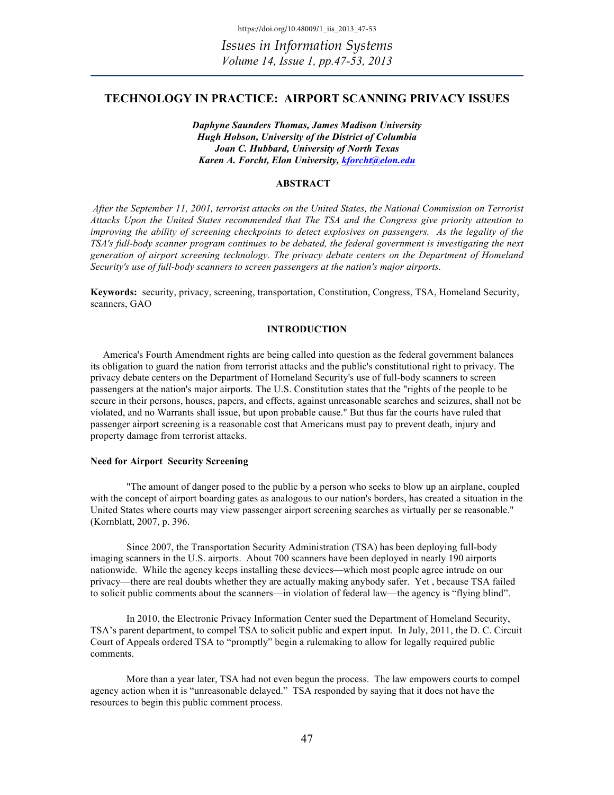# **TECHNOLOGY IN PRACTICE: AIRPORT SCANNING PRIVACY ISSUES**

*Daphyne Saunders Thomas, James Madison University Hugh Hobson, University of the District of Columbia Joan C. Hubbard, University of North Texas Karen A. Forcht, Elon University, kforcht@elon.edu*

# **ABSTRACT**

*After the September 11, 2001, terrorist attacks on the United States, the National Commission on Terrorist Attacks Upon the United States recommended that The TSA and the Congress give priority attention to improving the ability of screening checkpoints to detect explosives on passengers. As the legality of the TSA's full-body scanner program continues to be debated, the federal government is investigating the next generation of airport screening technology. The privacy debate centers on the Department of Homeland Security's use of full-body scanners to screen passengers at the nation's major airports.*

**Keywords:** security, privacy, screening, transportation, Constitution, Congress, TSA, Homeland Security, scanners, GAO

# **INTRODUCTION**

 America's Fourth Amendment rights are being called into question as the federal government balances its obligation to guard the nation from terrorist attacks and the public's constitutional right to privacy. The privacy debate centers on the Department of Homeland Security's use of full-body scanners to screen passengers at the nation's major airports. The U.S. Constitution states that the "rights of the people to be secure in their persons, houses, papers, and effects, against unreasonable searches and seizures, shall not be violated, and no Warrants shall issue, but upon probable cause." But thus far the courts have ruled that passenger airport screening is a reasonable cost that Americans must pay to prevent death, injury and property damage from terrorist attacks.

### **Need for Airport Security Screening**

"The amount of danger posed to the public by a person who seeks to blow up an airplane, coupled with the concept of airport boarding gates as analogous to our nation's borders, has created a situation in the United States where courts may view passenger airport screening searches as virtually per se reasonable." (Kornblatt, 2007, p. 396.

Since 2007, the Transportation Security Administration (TSA) has been deploying full-body imaging scanners in the U.S. airports. About 700 scanners have been deployed in nearly 190 airports nationwide. While the agency keeps installing these devices—which most people agree intrude on our privacy—there are real doubts whether they are actually making anybody safer. Yet , because TSA failed to solicit public comments about the scanners—in violation of federal law—the agency is "flying blind".

In 2010, the Electronic Privacy Information Center sued the Department of Homeland Security, TSA's parent department, to compel TSA to solicit public and expert input. In July, 2011, the D. C. Circuit Court of Appeals ordered TSA to "promptly" begin a rulemaking to allow for legally required public comments.

More than a year later, TSA had not even begun the process. The law empowers courts to compel agency action when it is "unreasonable delayed." TSA responded by saying that it does not have the resources to begin this public comment process.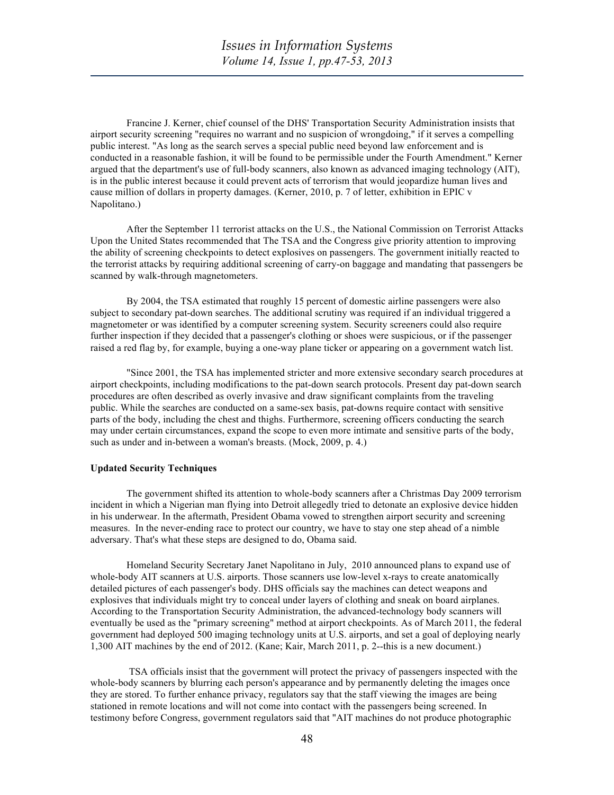Francine J. Kerner, chief counsel of the DHS' Transportation Security Administration insists that airport security screening "requires no warrant and no suspicion of wrongdoing," if it serves a compelling public interest. "As long as the search serves a special public need beyond law enforcement and is conducted in a reasonable fashion, it will be found to be permissible under the Fourth Amendment." Kerner argued that the department's use of full-body scanners, also known as advanced imaging technology (AIT), is in the public interest because it could prevent acts of terrorism that would jeopardize human lives and cause million of dollars in property damages. (Kerner, 2010, p. 7 of letter, exhibition in EPIC v Napolitano.)

After the September 11 terrorist attacks on the U.S., the National Commission on Terrorist Attacks Upon the United States recommended that The TSA and the Congress give priority attention to improving the ability of screening checkpoints to detect explosives on passengers. The government initially reacted to the terrorist attacks by requiring additional screening of carry-on baggage and mandating that passengers be scanned by walk-through magnetometers.

By 2004, the TSA estimated that roughly 15 percent of domestic airline passengers were also subject to secondary pat-down searches. The additional scrutiny was required if an individual triggered a magnetometer or was identified by a computer screening system. Security screeners could also require further inspection if they decided that a passenger's clothing or shoes were suspicious, or if the passenger raised a red flag by, for example, buying a one-way plane ticker or appearing on a government watch list.

"Since 2001, the TSA has implemented stricter and more extensive secondary search procedures at airport checkpoints, including modifications to the pat-down search protocols. Present day pat-down search procedures are often described as overly invasive and draw significant complaints from the traveling public. While the searches are conducted on a same-sex basis, pat-downs require contact with sensitive parts of the body, including the chest and thighs. Furthermore, screening officers conducting the search may under certain circumstances, expand the scope to even more intimate and sensitive parts of the body, such as under and in-between a woman's breasts. (Mock, 2009, p. 4.)

### **Updated Security Techniques**

The government shifted its attention to whole-body scanners after a Christmas Day 2009 terrorism incident in which a Nigerian man flying into Detroit allegedly tried to detonate an explosive device hidden in his underwear. In the aftermath, President Obama vowed to strengthen airport security and screening measures. In the never-ending race to protect our country, we have to stay one step ahead of a nimble adversary. That's what these steps are designed to do, Obama said.

Homeland Security Secretary Janet Napolitano in July, 2010 announced plans to expand use of whole-body AIT scanners at U.S. airports. Those scanners use low-level x-rays to create anatomically detailed pictures of each passenger's body. DHS officials say the machines can detect weapons and explosives that individuals might try to conceal under layers of clothing and sneak on board airplanes. According to the Transportation Security Administration, the advanced-technology body scanners will eventually be used as the "primary screening" method at airport checkpoints. As of March 2011, the federal government had deployed 500 imaging technology units at U.S. airports, and set a goal of deploying nearly 1,300 AIT machines by the end of 2012. (Kane; Kair, March 2011, p. 2--this is a new document.)

TSA officials insist that the government will protect the privacy of passengers inspected with the whole-body scanners by blurring each person's appearance and by permanently deleting the images once they are stored. To further enhance privacy, regulators say that the staff viewing the images are being stationed in remote locations and will not come into contact with the passengers being screened. In testimony before Congress, government regulators said that "AIT machines do not produce photographic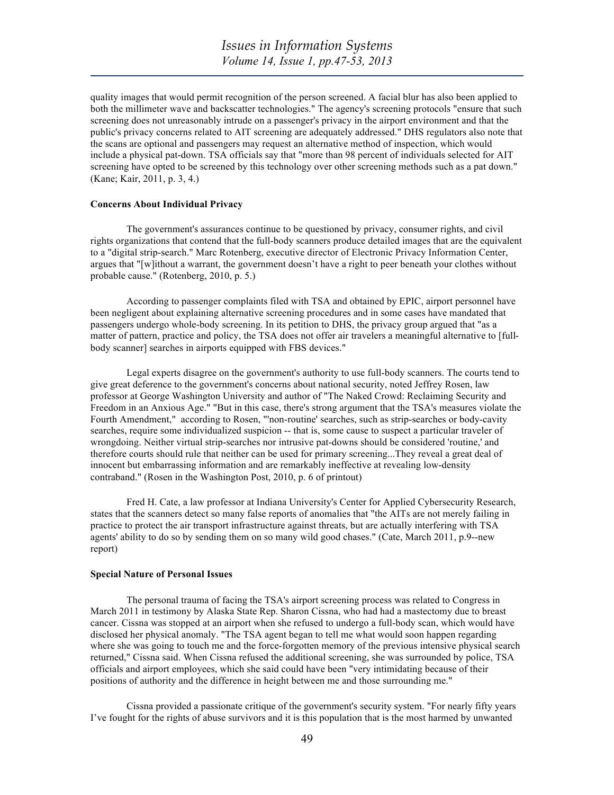quality images that would permit recognition of the person screened. A facial blur has also been applied to both the millimeter wave and backscatter technologies." The agency's screening protocols "ensure that such screening does not unreasonably intrude on a passenger's privacy in the airport environment and that the public's privacy concerns related to AIT screening are adequately addressed." DHS regulators also note that the scans are optional and passengers may request an alternative method of inspection, which would include a physical pat-down. TSA officials say that "more than 98 percent of individuals selected for AIT screening have opted to be screened by this technology over other screening methods such as a pat down." (Kane; Kair, 2011, p. 3, 4.)

### **Concerns About Individual Privacy**

The government's assurances continue to be questioned by privacy, consumer rights, and civil rights organizations that contend that the full-body scanners produce detailed images that are the equivalent to a "digital strip-search." Marc Rotenberg, executive director of Electronic Privacy Information Center, argues that "[w]ithout a warrant, the government doesn't have a right to peer beneath your clothes without probable cause." (Rotenberg, 2010, p. 5.)

According to passenger complaints filed with TSA and obtained by EPIC, airport personnel have been negligent about explaining alternative screening procedures and in some cases have mandated that passengers undergo whole-body screening. In its petition to DHS, the privacy group argued that "as a matter of pattern, practice and policy, the TSA does not offer air travelers a meaningful alternative to [fullbody scanner] searches in airports equipped with FBS devices."

Legal experts disagree on the government's authority to use full-body scanners. The courts tend to give great deference to the government's concerns about national security, noted Jeffrey Rosen, law professor at George Washington University and author of "The Naked Crowd: Reclaiming Security and Freedom in an Anxious Age." "But in this case, there's strong argument that the TSA's measures violate the Fourth Amendment," according to Rosen, "'non-routine' searches, such as strip-searches or body-cavity searches, require some individualized suspicion -- that is, some cause to suspect a particular traveler of wrongdoing. Neither virtual strip-searches nor intrusive pat-downs should be considered 'routine,' and therefore courts should rule that neither can be used for primary screening...They reveal a great deal of innocent but embarrassing information and are remarkably ineffective at revealing low-density contraband." (Rosen in the Washington Post, 2010, p. 6 of printout)

Fred H. Cate, a law professor at Indiana University's Center for Applied Cybersecurity Research, states that the scanners detect so many false reports of anomalies that "the AITs are not merely failing in practice to protect the air transport infrastructure against threats, but are actually interfering with TSA agents' ability to do so by sending them on so many wild good chases." (Cate, March 2011, p.9--new report)

### **Special Nature of Personal Issues**

The personal trauma of facing the TSA's airport screening process was related to Congress in March 2011 in testimony by Alaska State Rep. Sharon Cissna, who had had a mastectomy due to breast cancer. Cissna was stopped at an airport when she refused to undergo a full-body scan, which would have disclosed her physical anomaly. "The TSA agent began to tell me what would soon happen regarding where she was going to touch me and the force-forgotten memory of the previous intensive physical search returned," Cissna said. When Cissna refused the additional screening, she was surrounded by police, TSA officials and airport employees, which she said could have been "very intimidating because of their positions of authority and the difference in height between me and those surrounding me."

Cissna provided a passionate critique of the government's security system. "For nearly fifty years I've fought for the rights of abuse survivors and it is this population that is the most harmed by unwanted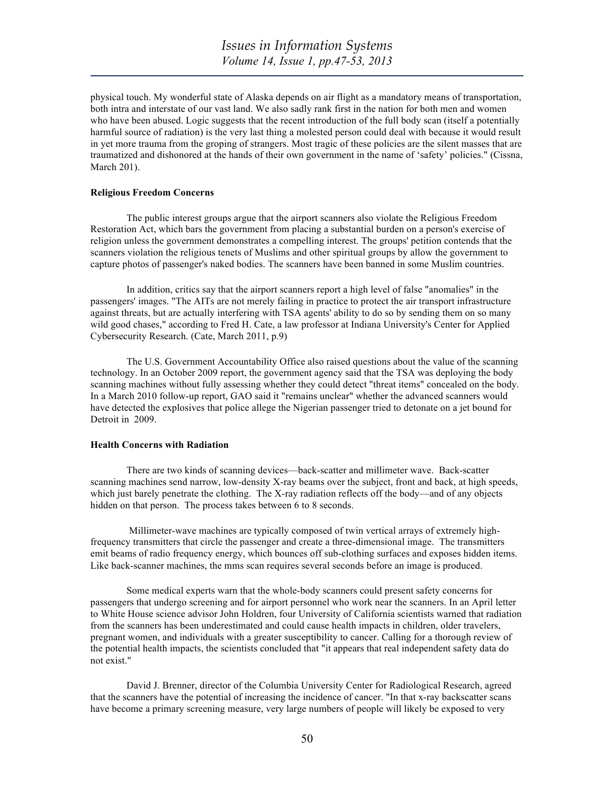physical touch. My wonderful state of Alaska depends on air flight as a mandatory means of transportation, both intra and interstate of our vast land. We also sadly rank first in the nation for both men and women who have been abused. Logic suggests that the recent introduction of the full body scan (itself a potentially harmful source of radiation) is the very last thing a molested person could deal with because it would result in yet more trauma from the groping of strangers. Most tragic of these policies are the silent masses that are traumatized and dishonored at the hands of their own government in the name of 'safety' policies." (Cissna, March 201).

## **Religious Freedom Concerns**

 The public interest groups argue that the airport scanners also violate the Religious Freedom Restoration Act, which bars the government from placing a substantial burden on a person's exercise of religion unless the government demonstrates a compelling interest. The groups' petition contends that the scanners violation the religious tenets of Muslims and other spiritual groups by allow the government to capture photos of passenger's naked bodies. The scanners have been banned in some Muslim countries.

In addition, critics say that the airport scanners report a high level of false "anomalies" in the passengers' images. "The AITs are not merely failing in practice to protect the air transport infrastructure against threats, but are actually interfering with TSA agents' ability to do so by sending them on so many wild good chases," according to Fred H. Cate, a law professor at Indiana University's Center for Applied Cybersecurity Research. (Cate, March 2011, p.9)

The U.S. Government Accountability Office also raised questions about the value of the scanning technology. In an October 2009 report, the government agency said that the TSA was deploying the body scanning machines without fully assessing whether they could detect "threat items" concealed on the body. In a March 2010 follow-up report, GAO said it "remains unclear" whether the advanced scanners would have detected the explosives that police allege the Nigerian passenger tried to detonate on a jet bound for Detroit in 2009.

#### **Health Concerns with Radiation**

 There are two kinds of scanning devices—back-scatter and millimeter wave. Back-scatter scanning machines send narrow, low-density X-ray beams over the subject, front and back, at high speeds, which just barely penetrate the clothing. The X-ray radiation reflects off the body—and of any objects hidden on that person. The process takes between 6 to 8 seconds.

 Millimeter-wave machines are typically composed of twin vertical arrays of extremely highfrequency transmitters that circle the passenger and create a three-dimensional image. The transmitters emit beams of radio frequency energy, which bounces off sub-clothing surfaces and exposes hidden items. Like back-scanner machines, the mms scan requires several seconds before an image is produced.

Some medical experts warn that the whole-body scanners could present safety concerns for passengers that undergo screening and for airport personnel who work near the scanners. In an April letter to White House science advisor John Holdren, four University of California scientists warned that radiation from the scanners has been underestimated and could cause health impacts in children, older travelers, pregnant women, and individuals with a greater susceptibility to cancer. Calling for a thorough review of the potential health impacts, the scientists concluded that "it appears that real independent safety data do not exist."

David J. Brenner, director of the Columbia University Center for Radiological Research, agreed that the scanners have the potential of increasing the incidence of cancer. "In that x-ray backscatter scans have become a primary screening measure, very large numbers of people will likely be exposed to very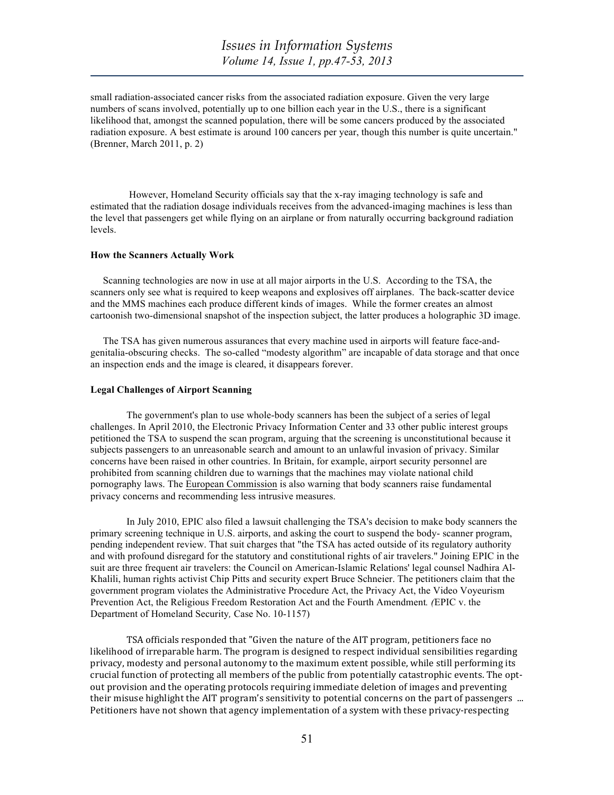small radiation-associated cancer risks from the associated radiation exposure. Given the very large numbers of scans involved, potentially up to one billion each year in the U.S., there is a significant likelihood that, amongst the scanned population, there will be some cancers produced by the associated radiation exposure. A best estimate is around 100 cancers per year, though this number is quite uncertain." (Brenner, March 2011, p. 2)

However, Homeland Security officials say that the x-ray imaging technology is safe and estimated that the radiation dosage individuals receives from the advanced-imaging machines is less than the level that passengers get while flying on an airplane or from naturally occurring background radiation levels.

### **How the Scanners Actually Work**

 Scanning technologies are now in use at all major airports in the U.S. According to the TSA, the scanners only see what is required to keep weapons and explosives off airplanes. The back-scatter device and the MMS machines each produce different kinds of images. While the former creates an almost cartoonish two-dimensional snapshot of the inspection subject, the latter produces a holographic 3D image.

 The TSA has given numerous assurances that every machine used in airports will feature face-andgenitalia-obscuring checks. The so-called "modesty algorithm" are incapable of data storage and that once an inspection ends and the image is cleared, it disappears forever.

### **Legal Challenges of Airport Scanning**

The government's plan to use whole-body scanners has been the subject of a series of legal challenges. In April 2010, the Electronic Privacy Information Center and 33 other public interest groups petitioned the TSA to suspend the scan program, arguing that the screening is unconstitutional because it subjects passengers to an unreasonable search and amount to an unlawful invasion of privacy. Similar concerns have been raised in other countries. In Britain, for example, airport security personnel are prohibited from scanning children due to warnings that the machines may violate national child pornography laws. The European Commission is also warning that body scanners raise fundamental privacy concerns and recommending less intrusive measures.

In July 2010, EPIC also filed a lawsuit challenging the TSA's decision to make body scanners the primary screening technique in U.S. airports, and asking the court to suspend the body- scanner program, pending independent review. That suit charges that "the TSA has acted outside of its regulatory authority and with profound disregard for the statutory and constitutional rights of air travelers." Joining EPIC in the suit are three frequent air travelers: the Council on American-Islamic Relations' legal counsel Nadhira Al-Khalili, human rights activist Chip Pitts and security expert Bruce Schneier. The petitioners claim that the government program violates the Administrative Procedure Act, the Privacy Act, the Video Voyeurism Prevention Act, the Religious Freedom Restoration Act and the Fourth Amendment*. (*EPIC v. the Department of Homeland Security*,* Case No. 10-1157)

TSA officials responded that "Given the nature of the AIT program, petitioners face no likelihood of irreparable harm. The program is designed to respect individual sensibilities regarding privacy, modesty and personal autonomy to the maximum extent possible, while still performing its crucial function of protecting all members of the public from potentially catastrophic events. The optout provision and the operating protocols requiring immediate deletion of images and preventing their misuse highlight the AIT program's sensitivity to potential concerns on the part of passengers ... Petitioners have not shown that agency implementation of a system with these privacy-respecting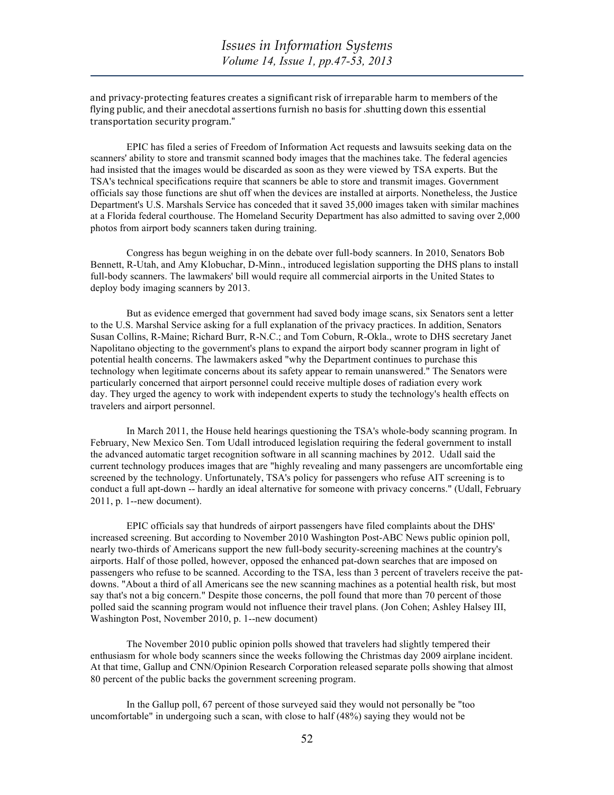and privacy-protecting features creates a significant risk of irreparable harm to members of the flying public, and their anecdotal assertions furnish no basis for .shutting down this essential transportation security program."

EPIC has filed a series of Freedom of Information Act requests and lawsuits seeking data on the scanners' ability to store and transmit scanned body images that the machines take. The federal agencies had insisted that the images would be discarded as soon as they were viewed by TSA experts. But the TSA's technical specifications require that scanners be able to store and transmit images. Government officials say those functions are shut off when the devices are installed at airports. Nonetheless, the Justice Department's U.S. Marshals Service has conceded that it saved 35,000 images taken with similar machines at a Florida federal courthouse. The Homeland Security Department has also admitted to saving over 2,000 photos from airport body scanners taken during training.

Congress has begun weighing in on the debate over full-body scanners. In 2010, Senators Bob Bennett, R-Utah, and Amy Klobuchar, D-Minn., introduced legislation supporting the DHS plans to install full-body scanners. The lawmakers' bill would require all commercial airports in the United States to deploy body imaging scanners by 2013.

But as evidence emerged that government had saved body image scans, six Senators sent a letter to the U.S. Marshal Service asking for a full explanation of the privacy practices. In addition, Senators Susan Collins, R-Maine; Richard Burr, R-N.C.; and Tom Coburn, R-Okla., wrote to DHS secretary Janet Napolitano objecting to the government's plans to expand the airport body scanner program in light of potential health concerns. The lawmakers asked "why the Department continues to purchase this technology when legitimate concerns about its safety appear to remain unanswered." The Senators were particularly concerned that airport personnel could receive multiple doses of radiation every work day. They urged the agency to work with independent experts to study the technology's health effects on travelers and airport personnel.

In March 2011, the House held hearings questioning the TSA's whole-body scanning program. In February, New Mexico Sen. Tom Udall introduced legislation requiring the federal government to install the advanced automatic target recognition software in all scanning machines by 2012. Udall said the current technology produces images that are "highly revealing and many passengers are uncomfortable eing screened by the technology. Unfortunately, TSA's policy for passengers who refuse AIT screening is to conduct a full apt-down -- hardly an ideal alternative for someone with privacy concerns." (Udall, February 2011, p. 1--new document).

EPIC officials say that hundreds of airport passengers have filed complaints about the DHS' increased screening. But according to November 2010 Washington Post-ABC News public opinion poll, nearly two-thirds of Americans support the new full-body security-screening machines at the country's airports. Half of those polled, however, opposed the enhanced pat-down searches that are imposed on passengers who refuse to be scanned. According to the TSA, less than 3 percent of travelers receive the patdowns. "About a third of all Americans see the new scanning machines as a potential health risk, but most say that's not a big concern." Despite those concerns, the poll found that more than 70 percent of those polled said the scanning program would not influence their travel plans. (Jon Cohen; Ashley Halsey III, Washington Post, November 2010, p. 1--new document)

The November 2010 public opinion polls showed that travelers had slightly tempered their enthusiasm for whole body scanners since the weeks following the Christmas day 2009 airplane incident. At that time, Gallup and CNN/Opinion Research Corporation released separate polls showing that almost 80 percent of the public backs the government screening program.

In the Gallup poll, 67 percent of those surveyed said they would not personally be "too uncomfortable" in undergoing such a scan, with close to half (48%) saying they would not be